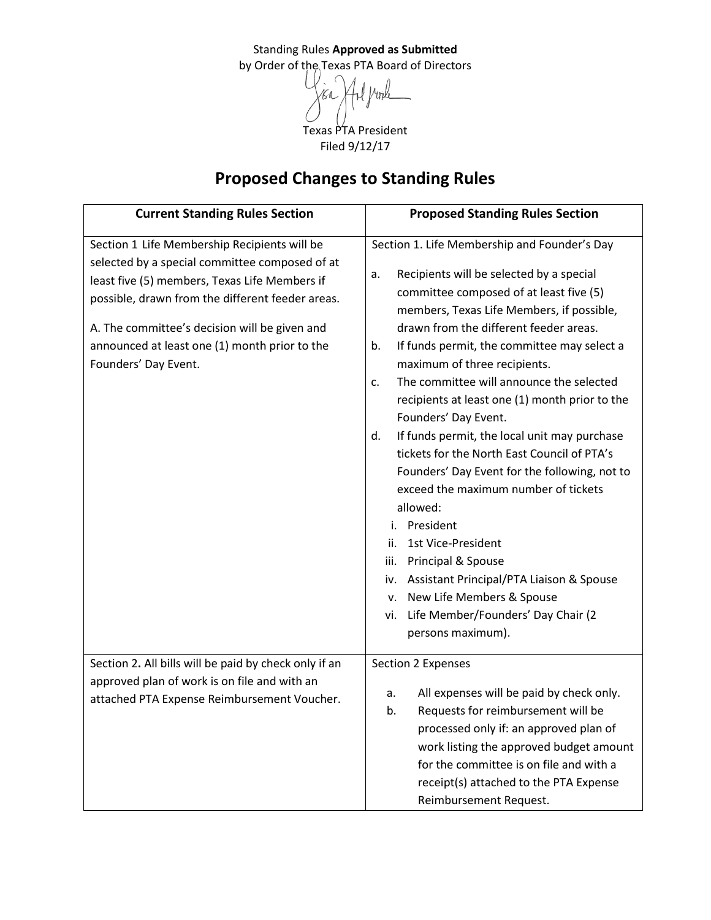Standing Rules **Approved as Submitted** by Order of the Texas PTA Board of Directors Vinle Texas PTA President

Filed 9/12/17

## **Proposed Changes to Standing Rules**

| <b>Current Standing Rules Section</b>                                                                                                                                                                                                                                                                                         | <b>Proposed Standing Rules Section</b>                                                                                                                                                                                                                                                                                                                                                                                                                                                                                                                                                                                                                                                                                                                                                                                                                                                |
|-------------------------------------------------------------------------------------------------------------------------------------------------------------------------------------------------------------------------------------------------------------------------------------------------------------------------------|---------------------------------------------------------------------------------------------------------------------------------------------------------------------------------------------------------------------------------------------------------------------------------------------------------------------------------------------------------------------------------------------------------------------------------------------------------------------------------------------------------------------------------------------------------------------------------------------------------------------------------------------------------------------------------------------------------------------------------------------------------------------------------------------------------------------------------------------------------------------------------------|
| Section 1 Life Membership Recipients will be<br>selected by a special committee composed of at<br>least five (5) members, Texas Life Members if<br>possible, drawn from the different feeder areas.<br>A. The committee's decision will be given and<br>announced at least one (1) month prior to the<br>Founders' Day Event. | Section 1. Life Membership and Founder's Day<br>Recipients will be selected by a special<br>a.<br>committee composed of at least five (5)<br>members, Texas Life Members, if possible,<br>drawn from the different feeder areas.<br>If funds permit, the committee may select a<br>b.<br>maximum of three recipients.<br>The committee will announce the selected<br>c.<br>recipients at least one (1) month prior to the<br>Founders' Day Event.<br>If funds permit, the local unit may purchase<br>d.<br>tickets for the North East Council of PTA's<br>Founders' Day Event for the following, not to<br>exceed the maximum number of tickets<br>allowed:<br>President<br>i.<br>1st Vice-President<br>ii.<br>iii. Principal & Spouse<br>iv. Assistant Principal/PTA Liaison & Spouse<br>v. New Life Members & Spouse<br>vi. Life Member/Founders' Day Chair (2<br>persons maximum). |
| Section 2. All bills will be paid by check only if an<br>approved plan of work is on file and with an<br>attached PTA Expense Reimbursement Voucher.                                                                                                                                                                          | Section 2 Expenses<br>All expenses will be paid by check only.<br>a.<br>Requests for reimbursement will be<br>b.<br>processed only if: an approved plan of<br>work listing the approved budget amount<br>for the committee is on file and with a<br>receipt(s) attached to the PTA Expense<br>Reimbursement Request.                                                                                                                                                                                                                                                                                                                                                                                                                                                                                                                                                                  |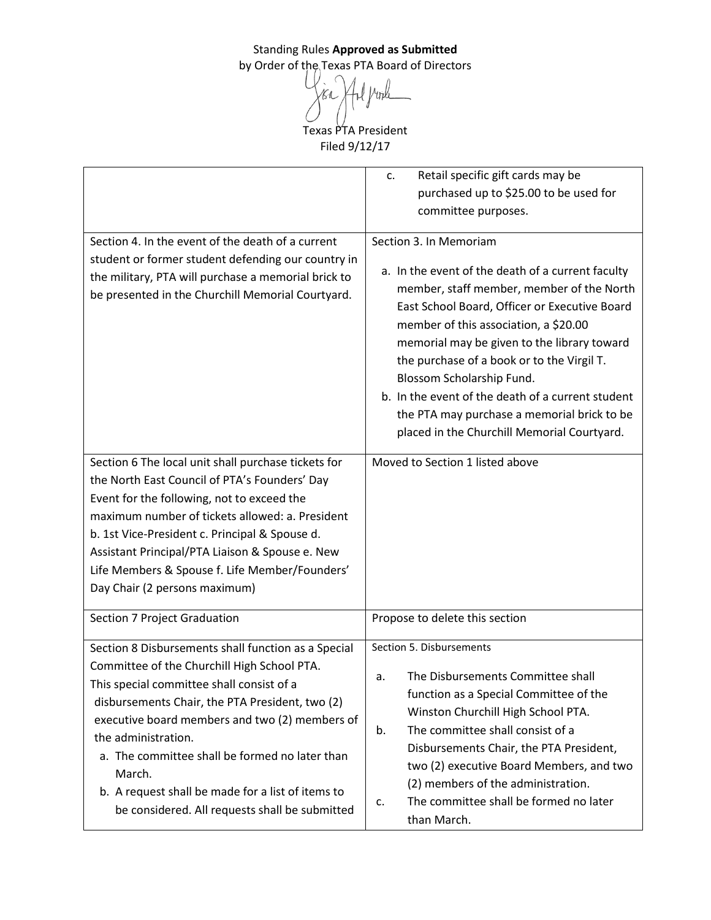1 pople Kr Texas PTA President

Filed 9/12/17

|                                                                                                                                                                                                                                                                                                                                                                                                                                                | Retail specific gift cards may be<br>c.                                                                                                                                                                                                                                                                                                                                                                                                                                                         |
|------------------------------------------------------------------------------------------------------------------------------------------------------------------------------------------------------------------------------------------------------------------------------------------------------------------------------------------------------------------------------------------------------------------------------------------------|-------------------------------------------------------------------------------------------------------------------------------------------------------------------------------------------------------------------------------------------------------------------------------------------------------------------------------------------------------------------------------------------------------------------------------------------------------------------------------------------------|
|                                                                                                                                                                                                                                                                                                                                                                                                                                                | purchased up to \$25.00 to be used for                                                                                                                                                                                                                                                                                                                                                                                                                                                          |
|                                                                                                                                                                                                                                                                                                                                                                                                                                                | committee purposes.                                                                                                                                                                                                                                                                                                                                                                                                                                                                             |
| Section 4. In the event of the death of a current<br>student or former student defending our country in<br>the military, PTA will purchase a memorial brick to<br>be presented in the Churchill Memorial Courtyard.                                                                                                                                                                                                                            | Section 3. In Memoriam<br>a. In the event of the death of a current faculty<br>member, staff member, member of the North<br>East School Board, Officer or Executive Board<br>member of this association, a \$20.00<br>memorial may be given to the library toward<br>the purchase of a book or to the Virgil T.<br>Blossom Scholarship Fund.<br>b. In the event of the death of a current student<br>the PTA may purchase a memorial brick to be<br>placed in the Churchill Memorial Courtyard. |
| Section 6 The local unit shall purchase tickets for<br>the North East Council of PTA's Founders' Day<br>Event for the following, not to exceed the<br>maximum number of tickets allowed: a. President<br>b. 1st Vice-President c. Principal & Spouse d.<br>Assistant Principal/PTA Liaison & Spouse e. New<br>Life Members & Spouse f. Life Member/Founders'<br>Day Chair (2 persons maximum)                                                  | Moved to Section 1 listed above                                                                                                                                                                                                                                                                                                                                                                                                                                                                 |
| Section 7 Project Graduation                                                                                                                                                                                                                                                                                                                                                                                                                   | Propose to delete this section                                                                                                                                                                                                                                                                                                                                                                                                                                                                  |
| Section 8 Disbursements shall function as a Special<br>Committee of the Churchill High School PTA.<br>This special committee shall consist of a<br>disbursements Chair, the PTA President, two (2)<br>executive board members and two (2) members of<br>the administration.<br>a. The committee shall be formed no later than<br>March.<br>b. A request shall be made for a list of items to<br>be considered. All requests shall be submitted | Section 5. Disbursements<br>The Disbursements Committee shall<br>a.<br>function as a Special Committee of the<br>Winston Churchill High School PTA.<br>The committee shall consist of a<br>b.<br>Disbursements Chair, the PTA President,<br>two (2) executive Board Members, and two<br>(2) members of the administration.<br>The committee shall be formed no later<br>c.<br>than March.                                                                                                       |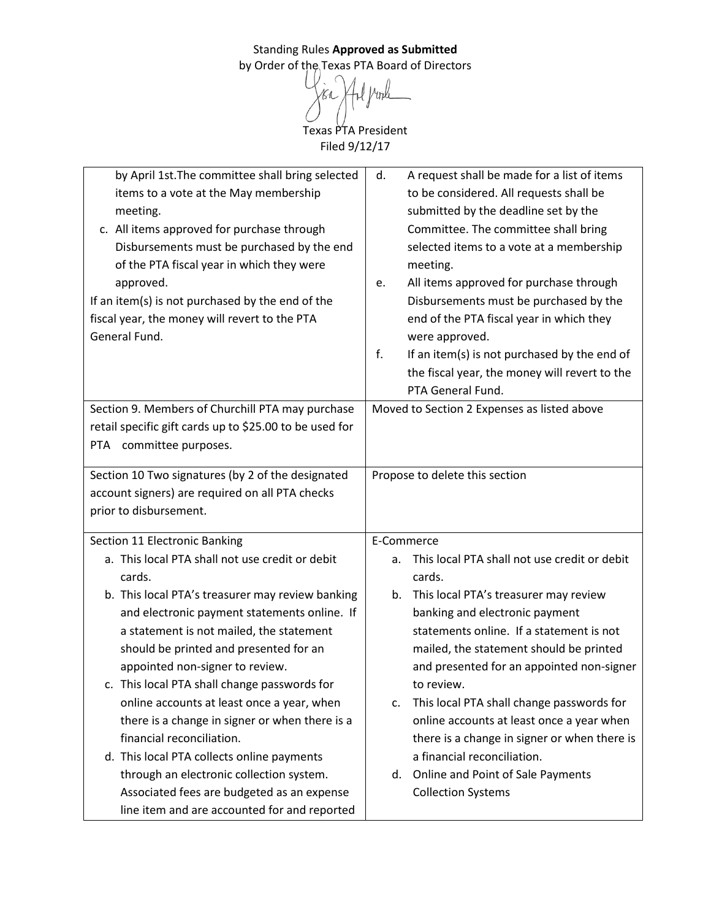> Texas PTA President Filed 9/12/17

| by April 1st. The committee shall bring selected<br>items to a vote at the May membership<br>meeting.<br>c. All items approved for purchase through<br>Disbursements must be purchased by the end<br>of the PTA fiscal year in which they were<br>approved.<br>If an item(s) is not purchased by the end of the<br>fiscal year, the money will revert to the PTA<br>General Fund. | A request shall be made for a list of items<br>d.<br>to be considered. All requests shall be<br>submitted by the deadline set by the<br>Committee. The committee shall bring<br>selected items to a vote at a membership<br>meeting.<br>All items approved for purchase through<br>e.<br>Disbursements must be purchased by the<br>end of the PTA fiscal year in which they<br>were approved.<br>f.<br>If an item(s) is not purchased by the end of<br>the fiscal year, the money will revert to the<br>PTA General Fund. |
|-----------------------------------------------------------------------------------------------------------------------------------------------------------------------------------------------------------------------------------------------------------------------------------------------------------------------------------------------------------------------------------|---------------------------------------------------------------------------------------------------------------------------------------------------------------------------------------------------------------------------------------------------------------------------------------------------------------------------------------------------------------------------------------------------------------------------------------------------------------------------------------------------------------------------|
| Section 9. Members of Churchill PTA may purchase                                                                                                                                                                                                                                                                                                                                  | Moved to Section 2 Expenses as listed above                                                                                                                                                                                                                                                                                                                                                                                                                                                                               |
| retail specific gift cards up to \$25.00 to be used for                                                                                                                                                                                                                                                                                                                           |                                                                                                                                                                                                                                                                                                                                                                                                                                                                                                                           |
| PTA committee purposes.                                                                                                                                                                                                                                                                                                                                                           |                                                                                                                                                                                                                                                                                                                                                                                                                                                                                                                           |
|                                                                                                                                                                                                                                                                                                                                                                                   |                                                                                                                                                                                                                                                                                                                                                                                                                                                                                                                           |
| Section 10 Two signatures (by 2 of the designated                                                                                                                                                                                                                                                                                                                                 | Propose to delete this section                                                                                                                                                                                                                                                                                                                                                                                                                                                                                            |
| account signers) are required on all PTA checks                                                                                                                                                                                                                                                                                                                                   |                                                                                                                                                                                                                                                                                                                                                                                                                                                                                                                           |
| prior to disbursement.                                                                                                                                                                                                                                                                                                                                                            |                                                                                                                                                                                                                                                                                                                                                                                                                                                                                                                           |
|                                                                                                                                                                                                                                                                                                                                                                                   |                                                                                                                                                                                                                                                                                                                                                                                                                                                                                                                           |
| Section 11 Electronic Banking                                                                                                                                                                                                                                                                                                                                                     | E-Commerce                                                                                                                                                                                                                                                                                                                                                                                                                                                                                                                |
| a. This local PTA shall not use credit or debit                                                                                                                                                                                                                                                                                                                                   | This local PTA shall not use credit or debit<br>a.                                                                                                                                                                                                                                                                                                                                                                                                                                                                        |
| cards.                                                                                                                                                                                                                                                                                                                                                                            | cards.                                                                                                                                                                                                                                                                                                                                                                                                                                                                                                                    |
| b. This local PTA's treasurer may review banking                                                                                                                                                                                                                                                                                                                                  | This local PTA's treasurer may review<br>b.                                                                                                                                                                                                                                                                                                                                                                                                                                                                               |
| and electronic payment statements online. If                                                                                                                                                                                                                                                                                                                                      | banking and electronic payment                                                                                                                                                                                                                                                                                                                                                                                                                                                                                            |
| a statement is not mailed, the statement                                                                                                                                                                                                                                                                                                                                          | statements online. If a statement is not                                                                                                                                                                                                                                                                                                                                                                                                                                                                                  |
| should be printed and presented for an                                                                                                                                                                                                                                                                                                                                            | mailed, the statement should be printed                                                                                                                                                                                                                                                                                                                                                                                                                                                                                   |
| appointed non-signer to review.                                                                                                                                                                                                                                                                                                                                                   | and presented for an appointed non-signer                                                                                                                                                                                                                                                                                                                                                                                                                                                                                 |
| c. This local PTA shall change passwords for                                                                                                                                                                                                                                                                                                                                      | to review.                                                                                                                                                                                                                                                                                                                                                                                                                                                                                                                |
| online accounts at least once a year, when                                                                                                                                                                                                                                                                                                                                        | This local PTA shall change passwords for<br>c.                                                                                                                                                                                                                                                                                                                                                                                                                                                                           |
| there is a change in signer or when there is a                                                                                                                                                                                                                                                                                                                                    | online accounts at least once a year when                                                                                                                                                                                                                                                                                                                                                                                                                                                                                 |
| financial reconciliation.                                                                                                                                                                                                                                                                                                                                                         | there is a change in signer or when there is                                                                                                                                                                                                                                                                                                                                                                                                                                                                              |
| d. This local PTA collects online payments                                                                                                                                                                                                                                                                                                                                        | a financial reconciliation.                                                                                                                                                                                                                                                                                                                                                                                                                                                                                               |
| through an electronic collection system.                                                                                                                                                                                                                                                                                                                                          | Online and Point of Sale Payments<br>d.                                                                                                                                                                                                                                                                                                                                                                                                                                                                                   |
| Associated fees are budgeted as an expense                                                                                                                                                                                                                                                                                                                                        | <b>Collection Systems</b>                                                                                                                                                                                                                                                                                                                                                                                                                                                                                                 |
| line item and are accounted for and reported                                                                                                                                                                                                                                                                                                                                      |                                                                                                                                                                                                                                                                                                                                                                                                                                                                                                                           |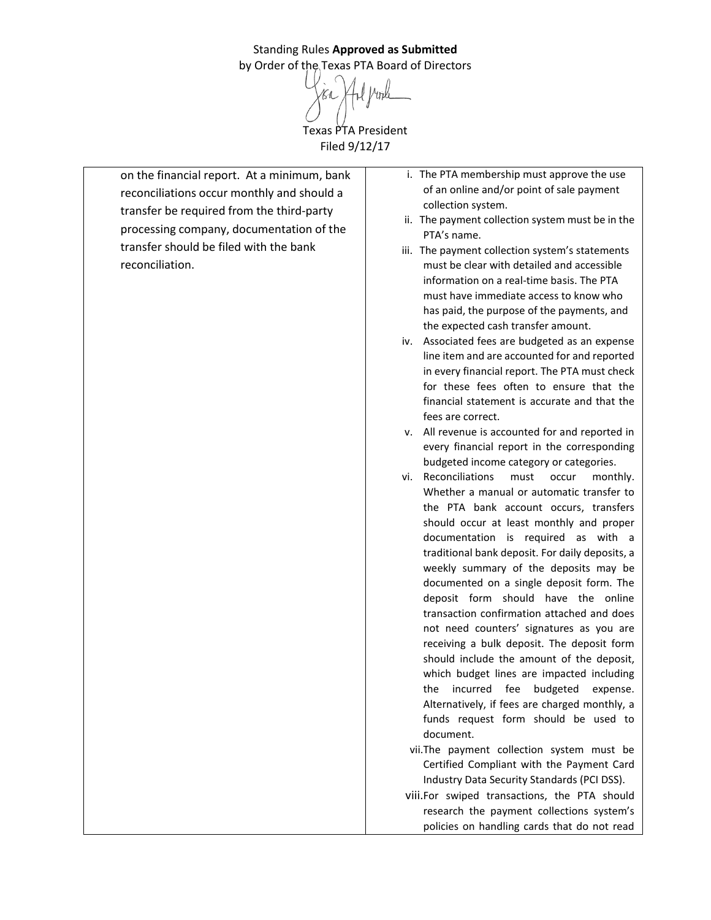Standing Rules **Approved as Submitted** by Order of the Texas PTA Board of Directors Texas PTA President Filed 9/12/17

on the financial report. At a minimum, bank reconciliations occur monthly and should a transfer be required from the third-party processing company, documentation of the transfer should be filed with the bank reconciliation.

- i. The PTA membership must approve the use of an online and/or point of sale payment collection system.
- ii. The payment collection system must be in the PTA's name.
- iii. The payment collection system's statements must be clear with detailed and accessible information on a real-time basis. The PTA must have immediate access to know who has paid, the purpose of the payments, and the expected cash transfer amount.
- iv. Associated fees are budgeted as an expense line item and are accounted for and reported in every financial report. The PTA must check for these fees often to ensure that the financial statement is accurate and that the fees are correct.
- v. All revenue is accounted for and reported in every financial report in the corresponding budgeted income category or categories.
- vi. Reconciliations must occur monthly. Whether a manual or automatic transfer to the PTA bank account occurs, transfers should occur at least monthly and proper documentation is required as with a traditional bank deposit. For daily deposits, a weekly summary of the deposits may be documented on a single deposit form. The deposit form should have the online transaction confirmation attached and does not need counters' signatures as you are receiving a bulk deposit. The deposit form should include the amount of the deposit, which budget lines are impacted including the incurred fee budgeted expense. Alternatively, if fees are charged monthly, a funds request form should be used to document.
	- vii.The payment collection system must be Certified Compliant with the Payment Card Industry Data Security Standards (PCI DSS).
- viii.For swiped transactions, the PTA should research the payment collections system's policies on handling cards that do not read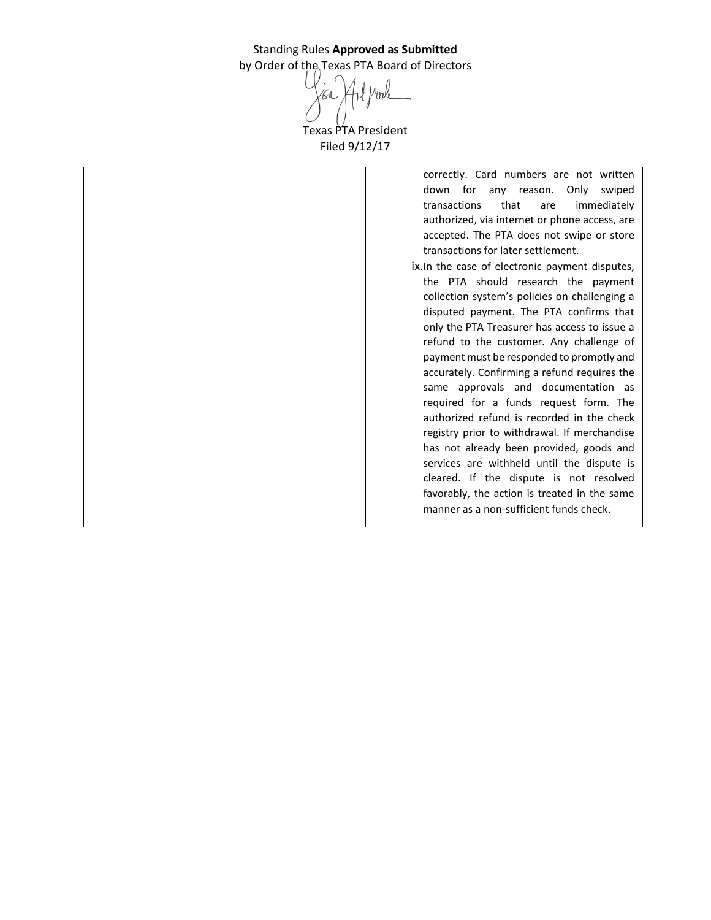Vinle Texas PTA President Filed 9/12/17

correctly. Card numbers are not written down for any reason. Only swiped transactions that are immediately authorized, via internet or phone access, are accepted. The PTA does not swipe or store transactions for later settlement. ix.In the case of electronic payment disputes, the PTA should research the payment collection system's policies on challenging a disputed payment. The PTA confirms that only the PTA Treasurer has access to issue a refund to the customer. Any challenge of payment must be responded to promptly and accurately. Confirming a refund requires the same approvals and documentation as required for a funds request form. The authorized refund is recorded in the check registry prior to withdrawal. If merchandise has not already been provided, goods and services are withheld until the dispute is cleared. If the dispute is not resolved favorably, the action is treated in the same

manner as a non-sufficient funds check.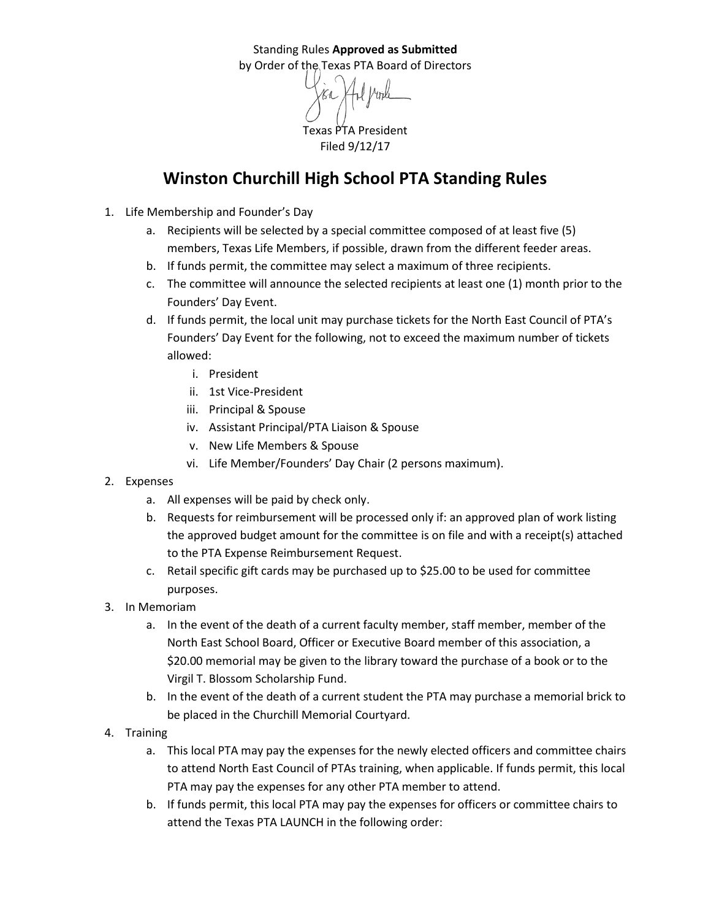Texas PTA President Filed 9/12/17

## **Winston Churchill High School PTA Standing Rules**

- 1. Life Membership and Founder's Day
	- a. Recipients will be selected by a special committee composed of at least five (5) members, Texas Life Members, if possible, drawn from the different feeder areas.
	- b. If funds permit, the committee may select a maximum of three recipients.
	- c. The committee will announce the selected recipients at least one (1) month prior to the Founders' Day Event.
	- d. If funds permit, the local unit may purchase tickets for the North East Council of PTA's Founders' Day Event for the following, not to exceed the maximum number of tickets allowed:
		- i. President
		- ii. 1st Vice-President
		- iii. Principal & Spouse
		- iv. Assistant Principal/PTA Liaison & Spouse
		- v. New Life Members & Spouse
		- vi. Life Member/Founders' Day Chair (2 persons maximum).
- 2. Expenses
	- a. All expenses will be paid by check only.
	- b. Requests for reimbursement will be processed only if: an approved plan of work listing the approved budget amount for the committee is on file and with a receipt(s) attached to the PTA Expense Reimbursement Request.
	- c. Retail specific gift cards may be purchased up to \$25.00 to be used for committee purposes.
- 3. In Memoriam
	- a. In the event of the death of a current faculty member, staff member, member of the North East School Board, Officer or Executive Board member of this association, a \$20.00 memorial may be given to the library toward the purchase of a book or to the Virgil T. Blossom Scholarship Fund.
	- b. In the event of the death of a current student the PTA may purchase a memorial brick to be placed in the Churchill Memorial Courtyard.
- 4. Training
	- a. This local PTA may pay the expenses for the newly elected officers and committee chairs to attend North East Council of PTAs training, when applicable. If funds permit, this local PTA may pay the expenses for any other PTA member to attend.
	- b. If funds permit, this local PTA may pay the expenses for officers or committee chairs to attend the Texas PTA LAUNCH in the following order: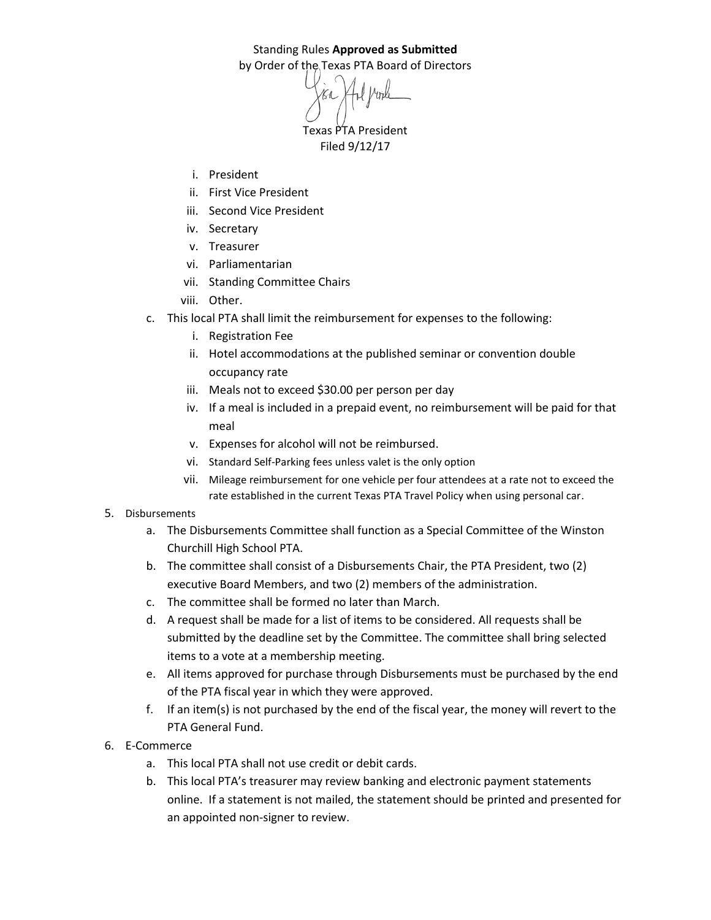Texas PTA President Filed 9/12/17

- i. President
- ii. First Vice President
- iii. Second Vice President
- iv. Secretary
- v. Treasurer
- vi. Parliamentarian
- vii. Standing Committee Chairs
- viii. Other.
- c. This local PTA shall limit the reimbursement for expenses to the following:
	- i. Registration Fee
	- ii. Hotel accommodations at the published seminar or convention double occupancy rate
	- iii. Meals not to exceed \$30.00 per person per day
	- iv. If a meal is included in a prepaid event, no reimbursement will be paid for that meal
	- v. Expenses for alcohol will not be reimbursed.
	- vi. Standard Self-Parking fees unless valet is the only option
	- vii. Mileage reimbursement for one vehicle per four attendees at a rate not to exceed the rate established in the current Texas PTA Travel Policy when using personal car.

## 5. Disbursements

- a. The Disbursements Committee shall function as a Special Committee of the Winston Churchill High School PTA.
- b. The committee shall consist of a Disbursements Chair, the PTA President, two (2) executive Board Members, and two (2) members of the administration.
- c. The committee shall be formed no later than March.
- d. A request shall be made for a list of items to be considered. All requests shall be submitted by the deadline set by the Committee. The committee shall bring selected items to a vote at a membership meeting.
- e. All items approved for purchase through Disbursements must be purchased by the end of the PTA fiscal year in which they were approved.
- f. If an item(s) is not purchased by the end of the fiscal year, the money will revert to the PTA General Fund.
- 6. E-Commerce
	- a. This local PTA shall not use credit or debit cards.
	- b. This local PTA's treasurer may review banking and electronic payment statements online. If a statement is not mailed, the statement should be printed and presented for an appointed non-signer to review.